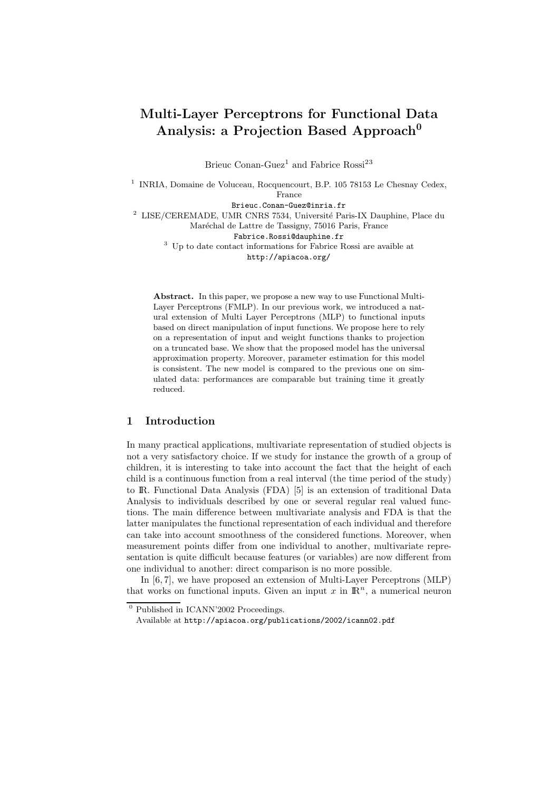# Multi-Layer Perceptrons for Functional Data Analysis: a Projection Based Approach<sup>0</sup>

Brieuc Conan-Guez<sup>1</sup> and Fabrice Rossi<sup>23</sup>

<sup>1</sup> INRIA, Domaine de Voluceau, Rocquencourt, B.P. 105 78153 Le Chesnay Cedex, France

Brieuc.Conan-Guez@inria.fr

 $^2$  LISE/CEREMADE, UMR CNRS 7534, Université Paris-IX Dauphine, Place du

Maréchal de Lattre de Tassigny, 75016 Paris, France

Fabrice.Rossi@dauphine.fr

<sup>3</sup> Up to date contact informations for Fabrice Rossi are avaible at http://apiacoa.org/

Abstract. In this paper, we propose a new way to use Functional Multi-Layer Perceptrons (FMLP). In our previous work, we introduced a natural extension of Multi Layer Perceptrons (MLP) to functional inputs based on direct manipulation of input functions. We propose here to rely on a representation of input and weight functions thanks to projection on a truncated base. We show that the proposed model has the universal approximation property. Moreover, parameter estimation for this model is consistent. The new model is compared to the previous one on simulated data: performances are comparable but training time it greatly reduced.

# 1 Introduction

In many practical applications, multivariate representation of studied objects is not a very satisfactory choice. If we study for instance the growth of a group of children, it is interesting to take into account the fact that the height of each child is a continuous function from a real interval (the time period of the study) to IR. Functional Data Analysis (FDA) [5] is an extension of traditional Data Analysis to individuals described by one or several regular real valued functions. The main difference between multivariate analysis and FDA is that the latter manipulates the functional representation of each individual and therefore can take into account smoothness of the considered functions. Moreover, when measurement points differ from one individual to another, multivariate representation is quite difficult because features (or variables) are now different from one individual to another: direct comparison is no more possible.

In [6, 7], we have proposed an extension of Multi-Layer Perceptrons (MLP) that works on functional inputs. Given an input x in  $\mathbb{R}^n$ , a numerical neuron

 $<sup>0</sup>$  Published in ICANN'2002 Proceedings.</sup>

Available at http://apiacoa.org/publications/2002/icann02.pdf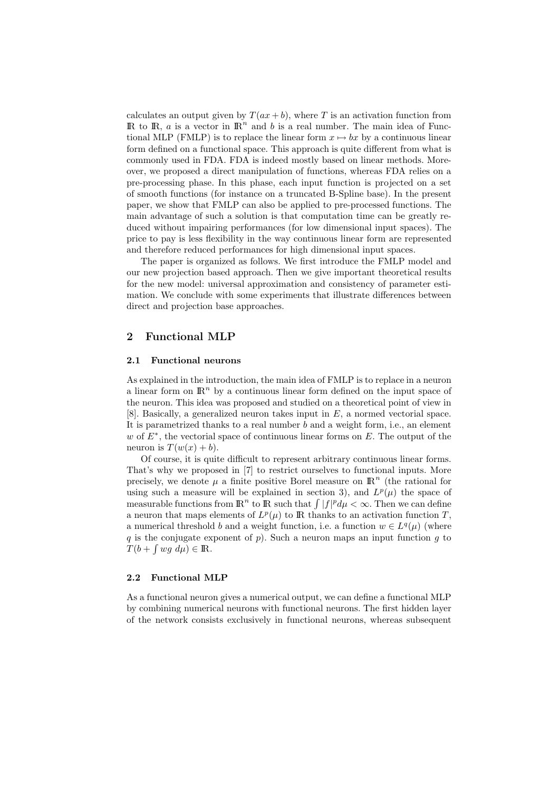calculates an output given by  $T(ax + b)$ , where T is an activation function from IR to IR, a is a vector in  $\mathbb{R}^n$  and b is a real number. The main idea of Functional MLP (FMLP) is to replace the linear form  $x \mapsto bx$  by a continuous linear form defined on a functional space. This approach is quite different from what is commonly used in FDA. FDA is indeed mostly based on linear methods. Moreover, we proposed a direct manipulation of functions, whereas FDA relies on a pre-processing phase. In this phase, each input function is projected on a set of smooth functions (for instance on a truncated B-Spline base). In the present paper, we show that FMLP can also be applied to pre-processed functions. The main advantage of such a solution is that computation time can be greatly reduced without impairing performances (for low dimensional input spaces). The price to pay is less flexibility in the way continuous linear form are represented and therefore reduced performances for high dimensional input spaces.

The paper is organized as follows. We first introduce the FMLP model and our new projection based approach. Then we give important theoretical results for the new model: universal approximation and consistency of parameter estimation. We conclude with some experiments that illustrate differences between direct and projection base approaches.

# 2 Functional MLP

#### 2.1 Functional neurons

As explained in the introduction, the main idea of FMLP is to replace in a neuron a linear form on  $\mathbb{R}^n$  by a continuous linear form defined on the input space of the neuron. This idea was proposed and studied on a theoretical point of view in [8]. Basically, a generalized neuron takes input in E, a normed vectorial space. It is parametrized thanks to a real number  $b$  and a weight form, i.e., an element w of  $E^*$ , the vectorial space of continuous linear forms on  $E$ . The output of the neuron is  $T(w(x) + b)$ .

Of course, it is quite difficult to represent arbitrary continuous linear forms. That's why we proposed in [7] to restrict ourselves to functional inputs. More precisely, we denote  $\mu$  a finite positive Borel measure on  $\mathbb{R}^n$  (the rational for using such a measure will be explained in section 3), and  $L^p(\mu)$  the space of measurable functions from  $\mathbb{R}^n$  to  $\mathbb{R}$  such that  $\int |f|^p d\mu < \infty$ . Then we can define a neuron that maps elements of  $L^p(\mu)$  to R thanks to an activation function T, a numerical threshold b and a weight function, i.e. a function  $w \in L^q(\mu)$  (where q is the conjugate exponent of  $p$ ). Such a neuron maps an input function  $q$  to  $\overline{T(b+\int wg\ d\mu)} \in \mathbb{R}.$ 

#### 2.2 Functional MLP

As a functional neuron gives a numerical output, we can define a functional MLP by combining numerical neurons with functional neurons. The first hidden layer of the network consists exclusively in functional neurons, whereas subsequent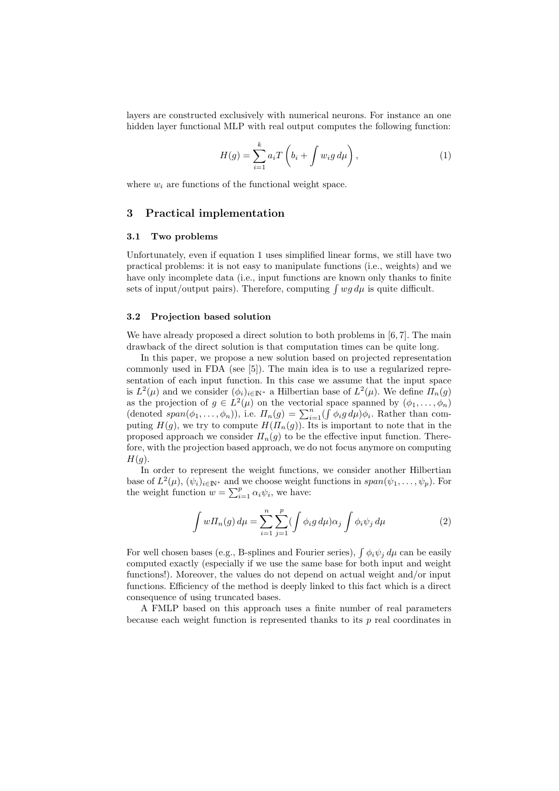layers are constructed exclusively with numerical neurons. For instance an one hidden layer functional MLP with real output computes the following function:

$$
H(g) = \sum_{i=1}^{k} a_i T\left(b_i + \int w_i g \, d\mu\right),\tag{1}
$$

where  $w_i$  are functions of the functional weight space.

# 3 Practical implementation

#### 3.1 Two problems

Unfortunately, even if equation 1 uses simplified linear forms, we still have two practical problems: it is not easy to manipulate functions (i.e., weights) and we have only incomplete data (i.e., input functions are known only thanks to finite sets of input/output pairs). Therefore, computing  $\int wg d\mu$  is quite difficult.

## 3.2 Projection based solution

We have already proposed a direct solution to both problems in [6, 7]. The main drawback of the direct solution is that computation times can be quite long.

In this paper, we propose a new solution based on projected representation commonly used in FDA (see [5]). The main idea is to use a regularized representation of each input function. In this case we assume that the input space is  $L^2(\mu)$  and we consider  $(\phi_i)_{i \in \mathbb{N}^*}$  a Hilbertian base of  $L^2(\mu)$ . We define  $\overline{\Pi}_n(g)$ as the projection of  $g \in L^2(\mu)$  on the vectorial space spanned by  $(\phi_1, \ldots, \phi_n)$ (denoted  $span(\phi_1,\ldots,\phi_n)$ ), i.e.  $\Pi_n(g) = \sum_{i=1}^n (\int \phi_i g \, d\mu) \phi_i$ . Rather than computing  $H(g)$ , we try to compute  $H(\Pi_n(g))$ . Its is important to note that in the proposed approach we consider  $\Pi_n(g)$  to be the effective input function. Therefore, with the projection based approach, we do not focus anymore on computing  $H(q)$ .

In order to represent the weight functions, we consider another Hilbertian base of  $L^2(\mu)$ ,  $(\psi_i)_{i \in \mathbb{N}^*}$  and we choose weight functions in  $span(\psi_1,\ldots,\psi_p)$ . For the weight function  $w = \sum_{i=1}^{p} \alpha_i \psi_i$ , we have:

$$
\int w\Pi_n(g)\,d\mu = \sum_{i=1}^n \sum_{j=1}^p (\int \phi_i g\,d\mu)\alpha_j \int \phi_i \psi_j\,d\mu \tag{2}
$$

For well chosen bases (e.g., B-splines and Fourier series),  $\int \phi_i \psi_j d\mu$  can be easily computed exactly (especially if we use the same base for both input and weight functions!). Moreover, the values do not depend on actual weight and/or input functions. Efficiency of the method is deeply linked to this fact which is a direct consequence of using truncated bases.

A FMLP based on this approach uses a finite number of real parameters because each weight function is represented thanks to its  $p$  real coordinates in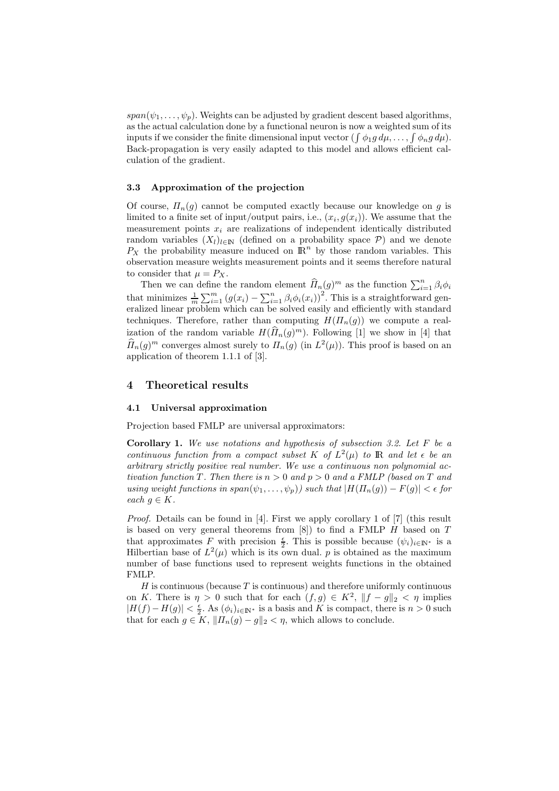$span(\psi_1,\ldots,\psi_p)$ . Weights can be adjusted by gradient descent based algorithms, as the actual calculation done by a functional neuron is now a weighted sum of its inputs if we consider the finite dimensional input vector  $(\int \phi_1 g d\mu, \dots, \int \phi_n g d\mu)$ . Back-propagation is very easily adapted to this model and allows efficient calculation of the gradient.

### 3.3 Approximation of the projection

Of course,  $\Pi_n(g)$  cannot be computed exactly because our knowledge on g is limited to a finite set of input/output pairs, i.e.,  $(x_i, g(x_i))$ . We assume that the measurement points  $x_i$  are realizations of independent identically distributed random variables  $(X_l)_{l\in\mathbb{N}}$  (defined on a probability space  $\mathcal{P}$ ) and we denote  $P_X$  the probability measure induced on  $\mathbb{R}^n$  by those random variables. This observation measure weights measurement points and it seems therefore natural to consider that  $\mu = P_X$ .

Then we can define the random element  $\widehat{H}_n(g)^m$  as the function  $\sum_{i=1}^n \beta_i \phi_i$ that minimizes  $\frac{1}{m} \sum_{i=1}^{m} (g(x_i) - \sum_{i=1}^{n} \beta_i \phi_i(x_i))^2$ . This is a straightforward generalized linear problem which can be solved easily and efficiently with standard techniques. Therefore, rather than computing  $H(\Pi_n(g))$  we compute a realization of the random variable  $H(\widehat{H}_n(g)^m)$ . Following [1] we show in [4] that  $\widehat{\Pi}_n(g)^m$  converges almost surely to  $\Pi_n(g)$  (in  $L^2(\mu)$ ). This proof is based on an application of theorem 1.1.1 of [3].

# 4 Theoretical results

#### 4.1 Universal approximation

Projection based FMLP are universal approximators:

**Corollary 1.** We use notations and hypothesis of subsection 3.2. Let  $F$  be a continuous function from a compact subset K of  $L^2(\mu)$  to R and let  $\epsilon$  be an arbitrary strictly positive real number. We use a continuous non polynomial activation function T. Then there is  $n > 0$  and  $p > 0$  and a FMLP (based on T and using weight functions in span $(\psi_1, \ldots, \psi_p)$  such that  $|H(\Pi_n(q)) - F(q)| < \epsilon$  for each  $q \in K$ .

Proof. Details can be found in [4]. First we apply corollary 1 of [7] (this result is based on very general theorems from  $[8]$  to find a FMLP H based on T that approximates F with precision  $\frac{\epsilon}{2}$ . This is possible because  $(\psi_i)_{i \in \mathbb{N}^*}$  is a Hilbertian base of  $L^2(\mu)$  which is its own dual. p is obtained as the maximum number of base functions used to represent weights functions in the obtained FMLP.

 $H$  is continuous (because  $T$  is continuous) and therefore uniformly continuous on K. There is  $\eta > 0$  such that for each  $(f, g) \in K^2$ ,  $||f - g||_2 < \eta$  implies  $|H(f) - H(g)| < \frac{\epsilon}{2}$ . As  $(\phi_i)_{i \in \mathbb{N}^*}$  is a basis and K is compact, there is  $n > 0$  such that for each  $g \in K$ ,  $||H_n(g) - g||_2 < \eta$ , which allows to conclude.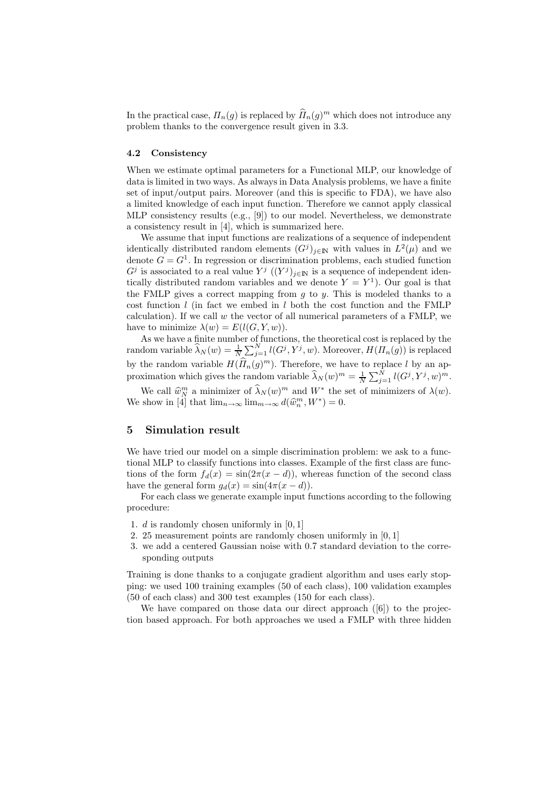In the practical case,  $\Pi_n(g)$  is replaced by  $\widehat{\Pi}_n(g)^m$  which does not introduce any problem thanks to the convergence result given in 3.3.

#### 4.2 Consistency

When we estimate optimal parameters for a Functional MLP, our knowledge of data is limited in two ways. As always in Data Analysis problems, we have a finite set of input/output pairs. Moreover (and this is specific to FDA), we have also a limited knowledge of each input function. Therefore we cannot apply classical MLP consistency results (e.g., [9]) to our model. Nevertheless, we demonstrate a consistency result in [4], which is summarized here.

We assume that input functions are realizations of a sequence of independent identically distributed random elements  $(G<sup>j</sup>)<sub>j\in N</sub>$  with values in  $L<sup>2</sup>(\mu)$  and we denote  $G = G^1$ . In regression or discrimination problems, each studied function  $G^j$  is associated to a real value  $Y^j$   $((Y^j)_{j\in\mathbb{N}})$  is a sequence of independent identically distributed random variables and we denote  $Y = Y^1$ ). Our goal is that the FMLP gives a correct mapping from  $q$  to  $y$ . This is modeled thanks to a cost function  $l$  (in fact we embed in  $l$  both the cost function and the FMLP calculation). If we call  $w$  the vector of all numerical parameters of a FMLP, we have to minimize  $\lambda(w) = E(l(G, Y, w)).$ 

As we have a finite number of functions, the theoretical cost is replaced by the random variable  $\widehat{\lambda}_N(w) = \frac{1}{N}$  $\frac{1}{N}\sum_{j=1}^{N}l(G^j,Y^j,w)$ . Moreover,  $H(\Pi_n(g))$  is replaced by the random variable  $H(\widehat{H}_n(g)^m)$ . Therefore, we have to replace l by an approximation which gives the random variable  $\widehat{\lambda}_N(w)^m = \frac{1}{N} \sum_{j=1}^N l(G^j, Y^j, w)^m$ .

We call  $\widehat{w}_{N}^{m}$  a minimizer of  $\widehat{\lambda}_{N}(w)^{m}$  and  $W^{*}$  the set of minimizers of  $\lambda(w)$ . We show in [4] that  $\lim_{n\to\infty} \lim_{m\to\infty} d(\widehat{w}_n^m, W^*) = 0.$ 

## 5 Simulation result

We have tried our model on a simple discrimination problem: we ask to a functional MLP to classify functions into classes. Example of the first class are functions of the form  $f_d(x) = \sin(2\pi(x - d))$ , whereas function of the second class have the general form  $g_d(x) = \sin(4\pi(x - d)).$ 

For each class we generate example input functions according to the following procedure:

- 1. d is randomly chosen uniformly in [0, 1]
- 2. 25 measurement points are randomly chosen uniformly in [0, 1]
- 3. we add a centered Gaussian noise with 0.7 standard deviation to the corresponding outputs

Training is done thanks to a conjugate gradient algorithm and uses early stopping: we used 100 training examples (50 of each class), 100 validation examples (50 of each class) and 300 test examples (150 for each class).

We have compared on those data our direct approach ([6]) to the projection based approach. For both approaches we used a FMLP with three hidden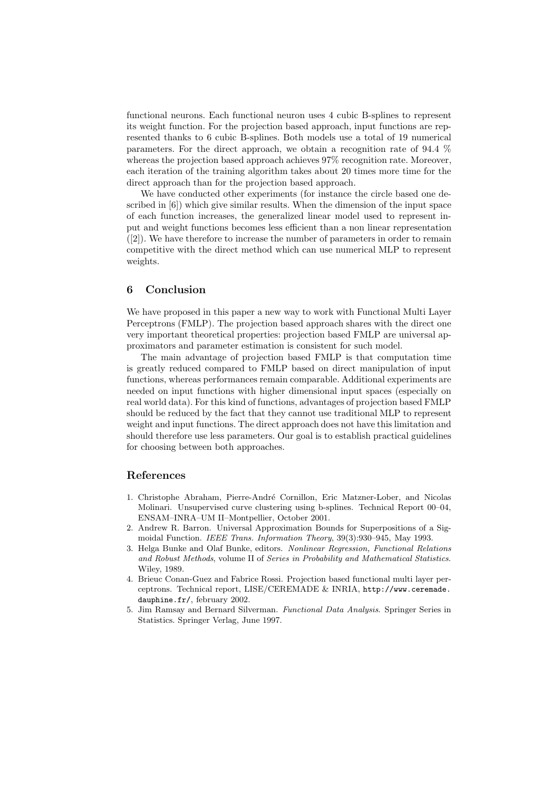functional neurons. Each functional neuron uses 4 cubic B-splines to represent its weight function. For the projection based approach, input functions are represented thanks to 6 cubic B-splines. Both models use a total of 19 numerical parameters. For the direct approach, we obtain a recognition rate of 94.4 % whereas the projection based approach achieves 97% recognition rate. Moreover, each iteration of the training algorithm takes about 20 times more time for the direct approach than for the projection based approach.

We have conducted other experiments (for instance the circle based one described in [6]) which give similar results. When the dimension of the input space of each function increases, the generalized linear model used to represent input and weight functions becomes less efficient than a non linear representation ([2]). We have therefore to increase the number of parameters in order to remain competitive with the direct method which can use numerical MLP to represent weights.

## 6 Conclusion

We have proposed in this paper a new way to work with Functional Multi Layer Perceptrons (FMLP). The projection based approach shares with the direct one very important theoretical properties: projection based FMLP are universal approximators and parameter estimation is consistent for such model.

The main advantage of projection based FMLP is that computation time is greatly reduced compared to FMLP based on direct manipulation of input functions, whereas performances remain comparable. Additional experiments are needed on input functions with higher dimensional input spaces (especially on real world data). For this kind of functions, advantages of projection based FMLP should be reduced by the fact that they cannot use traditional MLP to represent weight and input functions. The direct approach does not have this limitation and should therefore use less parameters. Our goal is to establish practical guidelines for choosing between both approaches.

# References

- 1. Christophe Abraham, Pierre-Andr´e Cornillon, Eric Matzner-Lober, and Nicolas Molinari. Unsupervised curve clustering using b-splines. Technical Report 00–04, ENSAM–INRA–UM II–Montpellier, October 2001.
- 2. Andrew R. Barron. Universal Approximation Bounds for Superpositions of a Sigmoidal Function. IEEE Trans. Information Theory, 39(3):930–945, May 1993.
- 3. Helga Bunke and Olaf Bunke, editors. Nonlinear Regression, Functional Relations and Robust Methods, volume II of Series in Probability and Mathematical Statistics. Wiley, 1989.
- 4. Brieuc Conan-Guez and Fabrice Rossi. Projection based functional multi layer perceptrons. Technical report, LISE/CEREMADE & INRIA, http://www.ceremade. dauphine.fr/, february 2002.
- 5. Jim Ramsay and Bernard Silverman. Functional Data Analysis. Springer Series in Statistics. Springer Verlag, June 1997.